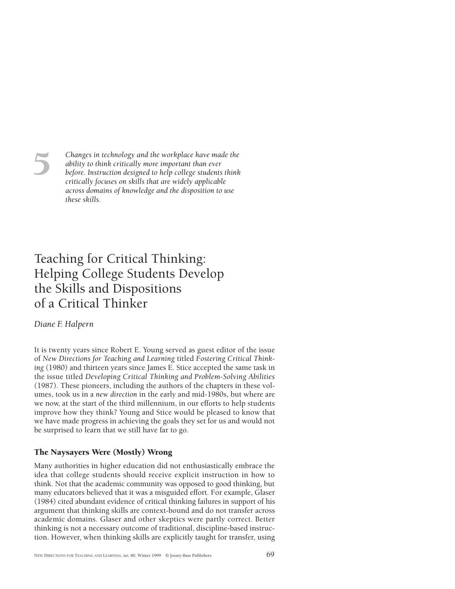5

*Changes in technology and the workplace have made the ability to think critically more important than ever before. Instruction designed to help college students think critically focuses on skills that are widely applicable across domains of knowledge and the disposition to use these skills.*

# Teaching for Critical Thinking: Helping College Students Develop the Skills and Dispositions of a Critical Thinker

*Diane F. Halpern*

It is twenty years since Robert E. Young served as guest editor of the issue of *New Directions for Teaching and Learning* titled *Fostering Critical Thinking* (1980) and thirteen years since James E. Stice accepted the same task in the issue titled *Developing Critical Thinking and Problem-Solving Abilities* (1987). These pioneers, including the authors of the chapters in these volumes, took us in a *new direction* in the early and mid-1980s, but where are we now, at the start of the third millennium, in our efforts to help students improve how they think? Young and Stice would be pleased to know that we have made progress in achieving the goals they set for us and would not be surprised to learn that we still have far to go.

## The Naysayers Were (Mostly) Wrong

Many authorities in higher education did not enthusiastically embrace the idea that college students should receive explicit instruction in how to think. Not that the academic community was opposed to good thinking, but many educators believed that it was a misguided effort. For example, Glaser (1984) cited abundant evidence of critical thinking failures in support of his argument that thinking skills are context-bound and do not transfer across academic domains. Glaser and other skeptics were partly correct. Better thinking is not a necessary outcome of traditional, discipline-based instruction. However, when thinking skills are explicitly taught for transfer, using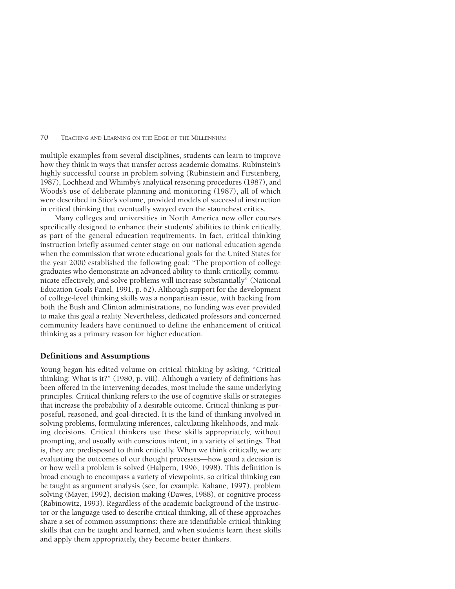multiple examples from several disciplines, students can learn to improve how they think in ways that transfer across academic domains. Rubinstein's highly successful course in problem solving (Rubinstein and Firstenberg, 1987), Lochhead and Whimby's analytical reasoning procedures (1987), and Woods's use of deliberate planning and monitoring (1987), all of which were described in Stice's volume, provided models of successful instruction in critical thinking that eventually swayed even the staunchest critics.

Many colleges and universities in North America now offer courses specifically designed to enhance their students' abilities to think critically, as part of the general education requirements. In fact, critical thinking instruction briefly assumed center stage on our national education agenda when the commission that wrote educational goals for the United States for the year 2000 established the following goal: "The proportion of college graduates who demonstrate an advanced ability to think critically, communicate effectively, and solve problems will increase substantially" (National Education Goals Panel, 1991, p. 62). Although support for the development of college-level thinking skills was a nonpartisan issue, with backing from both the Bush and Clinton administrations, no funding was ever provided to make this goal a reality. Nevertheless, dedicated professors and concerned community leaders have continued to define the enhancement of critical thinking as a primary reason for higher education.

## Definitions and Assumptions

Young began his edited volume on critical thinking by asking, "Critical thinking: What is it?" (1980, p. viii). Although a variety of definitions has been offered in the intervening decades, most include the same underlying principles. Critical thinking refers to the use of cognitive skills or strategies that increase the probability of a desirable outcome. Critical thinking is purposeful, reasoned, and goal-directed. It is the kind of thinking involved in solving problems, formulating inferences, calculating likelihoods, and making decisions. Critical thinkers use these skills appropriately, without prompting, and usually with conscious intent, in a variety of settings. That is, they are predisposed to think critically. When we think critically, we are evaluating the outcomes of our thought processes—how good a decision is or how well a problem is solved (Halpern, 1996, 1998). This definition is broad enough to encompass a variety of viewpoints, so critical thinking can be taught as argument analysis (see, for example, Kahane, 1997), problem solving (Mayer, 1992), decision making (Dawes, 1988), or cognitive process (Rabinowitz, 1993). Regardless of the academic background of the instructor or the language used to describe critical thinking, all of these approaches share a set of common assumptions: there are identifiable critical thinking skills that can be taught and learned, and when students learn these skills and apply them appropriately, they become better thinkers.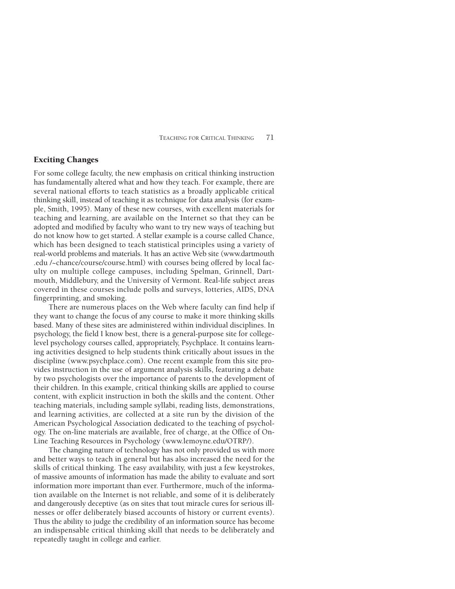#### Exciting Changes

For some college faculty, the new emphasis on critical thinking instruction has fundamentally altered what and how they teach. For example, there are several national efforts to teach statistics as a broadly applicable critical thinking skill, instead of teaching it as technique for data analysis (for example, Smith, 1995). Many of these new courses, with excellent materials for teaching and learning, are available on the Internet so that they can be adopted and modified by faculty who want to try new ways of teaching but do not know how to get started. A stellar example is a course called Chance, which has been designed to teach statistical principles using a variety of real-world problems and materials. It has an active Web site (www.dartmouth .edu /~chance/course/course.html) with courses being offered by local faculty on multiple college campuses, including Spelman, Grinnell, Dartmouth, Middlebury, and the University of Vermont. Real-life subject areas covered in these courses include polls and surveys, lotteries, AIDS, DNA fingerprinting, and smoking.

There are numerous places on the Web where faculty can find help if they want to change the focus of any course to make it more thinking skills based. Many of these sites are administered within individual disciplines. In psychology, the field I know best, there is a general-purpose site for collegelevel psychology courses called, appropriately, Psychplace. It contains learning activities designed to help students think critically about issues in the discipline (www.psychplace.com). One recent example from this site provides instruction in the use of argument analysis skills, featuring a debate by two psychologists over the importance of parents to the development of their children. In this example, critical thinking skills are applied to course content, with explicit instruction in both the skills and the content. Other teaching materials, including sample syllabi, reading lists, demonstrations, and learning activities, are collected at a site run by the division of the American Psychological Association dedicated to the teaching of psychology. The on-line materials are available, free of charge, at the Office of On-Line Teaching Resources in Psychology (www.lemoyne.edu/OTRP/).

The changing nature of technology has not only provided us with more and better ways to teach in general but has also increased the need for the skills of critical thinking. The easy availability, with just a few keystrokes, of massive amounts of information has made the ability to evaluate and sort information more important than ever. Furthermore, much of the information available on the Internet is not reliable, and some of it is deliberately and dangerously deceptive (as on sites that tout miracle cures for serious illnesses or offer deliberately biased accounts of history or current events). Thus the ability to judge the credibility of an information source has become an indispensable critical thinking skill that needs to be deliberately and repeatedly taught in college and earlier.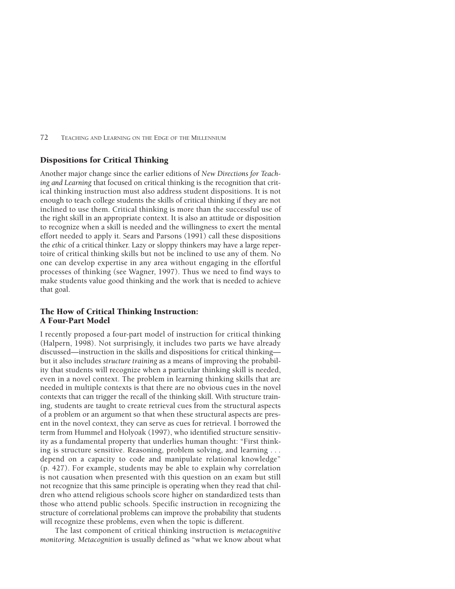## Dispositions for Critical Thinking

Another major change since the earlier editions of *New Directions for Teaching and Learning* that focused on critical thinking is the recognition that critical thinking instruction must also address student dispositions. It is not enough to teach college students the skills of critical thinking if they are not inclined to use them. Critical thinking is more than the successful use of the right skill in an appropriate context. It is also an attitude or disposition to recognize when a skill is needed and the willingness to exert the mental effort needed to apply it. Sears and Parsons (1991) call these dispositions the *ethic* of a critical thinker. Lazy or sloppy thinkers may have a large repertoire of critical thinking skills but not be inclined to use any of them. No one can develop expertise in any area without engaging in the effortful processes of thinking (see Wagner, 1997). Thus we need to find ways to make students value good thinking and the work that is needed to achieve that goal.

### The How of Critical Thinking Instruction: A Four-Part Model

I recently proposed a four-part model of instruction for critical thinking (Halpern, 1998). Not surprisingly, it includes two parts we have already discussed—instruction in the skills and dispositions for critical thinking but it also includes *structure training* as a means of improving the probability that students will recognize when a particular thinking skill is needed, even in a novel context. The problem in learning thinking skills that are needed in multiple contexts is that there are no obvious cues in the novel contexts that can trigger the recall of the thinking skill. With structure training, students are taught to create retrieval cues from the structural aspects of a problem or an argument so that when these structural aspects are present in the novel context, they can serve as cues for retrieval. I borrowed the term from Hummel and Holyoak (1997), who identified structure sensitivity as a fundamental property that underlies human thought: "First thinking is structure sensitive. Reasoning, problem solving, and learning . . . depend on a capacity to code and manipulate relational knowledge" (p. 427). For example, students may be able to explain why correlation is not causation when presented with this question on an exam but still not recognize that this same principle is operating when they read that children who attend religious schools score higher on standardized tests than those who attend public schools. Specific instruction in recognizing the structure of correlational problems can improve the probability that students will recognize these problems, even when the topic is different.

The last component of critical thinking instruction is *metacognitive monitoring. Metacognition* is usually defined as "what we know about what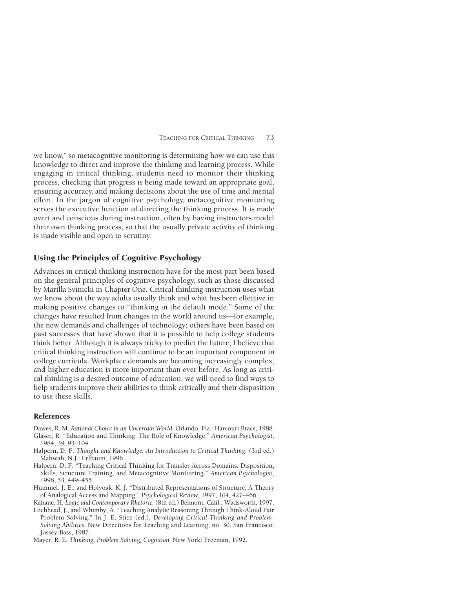we know," so metacognitive monitoring is determining how we can use this knowledge to direct and improve the thinking and learning process. While engaging in critical thinking, students need to monitor their thinking process, checking that progress is being made toward an appropriate goal, ensuring accuracy, and making decisions about the use of time and mental effort. In the jargon of cognitive psychology, metacognitive monitoring serves the executive function of directing the thinking process. It is made overt and conscious during instruction, often by having instructors model their own thinking process, so that the usually private activity of thinking is made visible and open to scrutiny.

#### Using the Principles of Cognitive Psychology

Advances in critical thinking instruction have for the most part been based on the general principles of cognitive psychology, such as those discussed by Marilla Svinicki in Chapter One. Critical thinking instruction uses what we know about the way adults usually think and what has been effective in making positive changes to "thinking in the default mode." Some of the changes have resulted from changes in the world around us—for example, the new demands and challenges of technology; others have been based on past successes that have shown that it is possible to help college students think better. Although it is always tricky to predict the future, I believe that critical thinking instruction will continue to be an important component in college curricula. Workplace demands are becoming increasingly complex, and higher education is more important than ever before. As long as critical thinking is a desired outcome of education, we will need to find ways to help students improve their abilities to think critically and their disposition to use these skills.

#### References

Dawes, R. M. *Rational Choice in an Uncertain World.* Orlando, Fla.: Harcourt Brace, 1988.

- Glaser, R. "Education and Thinking: The Role of Knowledge." *American Psychologist,* 1984, *39,* 93–104.
- Halpern, D. F. *Thought and Knowledge: An Introduction to Critical Thinking.* (3rd ed.) Mahwah, N.J.: Erlbaum, 1996.
- Halpern, D. F. "Teaching Critical Thinking for Transfer Across Domains: Disposition, Skills, Structure Training, and Metacognitive Monitoring." *American Psychologis*t, 1998, *53,* 449–455.
- Hummel, J. E., and Holyoak, K. J. "Distributed Representations of Structure: A Theory of Analogical Access and Mapping." *Psychological Review,* 1997, *104,* 427–466.
- Kahane, H. *Logic and Contemporary Rhetoric.* (8th ed.) Belmont, Calif.: Wadsworth, 1997.
- Lochhead, J., and Whimby, A. "Teaching Analytic Reasoning Through Think-Aloud Pair Problem Solving." In J. E. Stice (ed.), *Developing Critical Thinking and Problem-Solving Abilities.* New Directions for Teaching and Learning, no. 30. San Francisco: Jossey-Bass, 1987.
- Mayer, R. E. *Thinking, Problem Solving, Cognition.* New York: Freeman, 1992.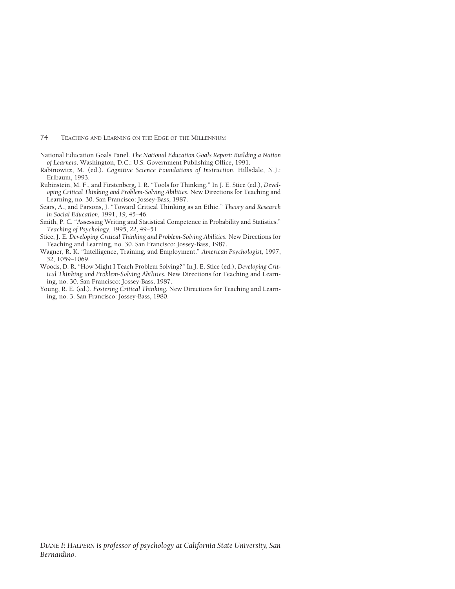- National Education Goals Panel. *The National Education Goals Report: Building a Nation of Learners.* Washington, D.C.: U.S. Government Publishing Office, 1991.
- Rabinowitz, M. (ed.). *Cognitive Science Foundations of Instruction.* Hillsdale, N.J.: Erlbaum, 1993.
- Rubinstein, M. F., and Firstenberg, I. R. "Tools for Thinking." In J. E. Stice (ed.), *Developing Critical Thinking and Problem-Solving Abilities.* New Directions for Teaching and Learning, no. 30. San Francisco: Jossey-Bass, 1987.
- Sears, A., and Parsons, J. "Toward Critical Thinking as an Ethic." *Theory and Research in Social Education,* 1991, *19,* 45–46.
- Smith, P. C. "Assessing Writing and Statistical Competence in Probability and Statistics." *Teaching of Psychology,* 1995, *22,* 49–51.
- Stice, J. E. *Developing Critical Thinking and Problem-Solving Abilities.* New Directions for Teaching and Learning, no. 30. San Francisco: Jossey-Bass, 1987.
- Wagner, R. K. "Intelligence, Training, and Employment." *American Psychologist,* 1997, *52,* 1059–1069.
- Woods, D. R. "How Might I Teach Problem Solving?" In J. E. Stice (ed.), *Developing Critical Thinking and Problem-Solving Abilities.* New Directions for Teaching and Learning, no. 30. San Francisco: Jossey-Bass, 1987.
- Young, R. E. (ed.). *Fostering Critical Thinking.* New Directions for Teaching and Learning, no. 3. San Francisco: Jossey-Bass, 1980.